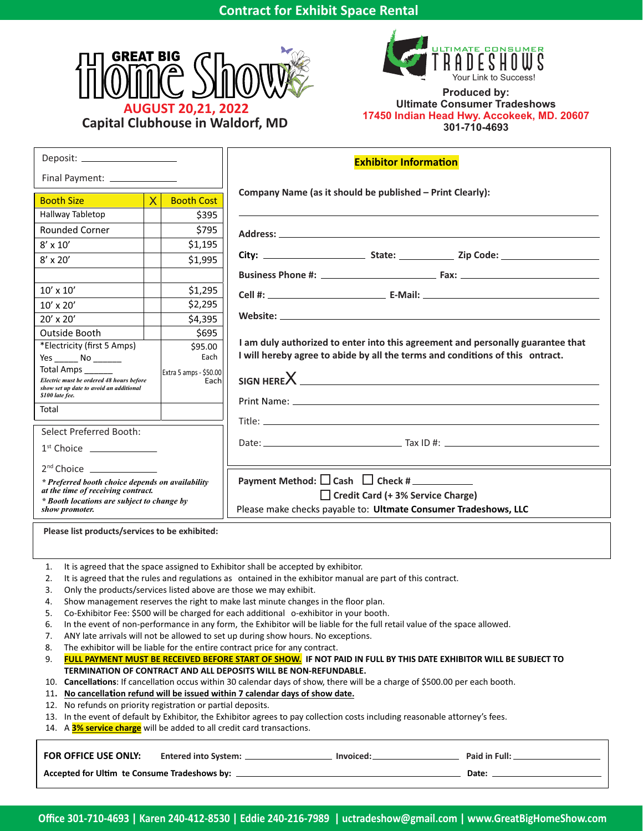



**Produced by: Ultimate Consumer Tradeshows 17450 Indian Head Hwy. Accokeek, MD. 20607 301-710-4693**

| Deposit: ______________________                                                                                                                                                                               |                                                                                                                              |                   | <b>Exhibitor Information</b>                                                    |  |  |  |  |
|---------------------------------------------------------------------------------------------------------------------------------------------------------------------------------------------------------------|------------------------------------------------------------------------------------------------------------------------------|-------------------|---------------------------------------------------------------------------------|--|--|--|--|
| Final Payment: ______________                                                                                                                                                                                 |                                                                                                                              |                   |                                                                                 |  |  |  |  |
| <b>Booth Size</b>                                                                                                                                                                                             | $\overline{\mathsf{X}}$                                                                                                      | <b>Booth Cost</b> | Company Name (as it should be published - Print Clearly):                       |  |  |  |  |
| Hallway Tabletop                                                                                                                                                                                              |                                                                                                                              | \$395             |                                                                                 |  |  |  |  |
| <b>Rounded Corner</b>                                                                                                                                                                                         |                                                                                                                              | \$795             |                                                                                 |  |  |  |  |
| $8' \times 10'$                                                                                                                                                                                               |                                                                                                                              | \$1,195           |                                                                                 |  |  |  |  |
| $8'$ x 20'                                                                                                                                                                                                    |                                                                                                                              | \$1,995           |                                                                                 |  |  |  |  |
|                                                                                                                                                                                                               |                                                                                                                              |                   |                                                                                 |  |  |  |  |
| $10' \times 10'$                                                                                                                                                                                              |                                                                                                                              | \$1,295           |                                                                                 |  |  |  |  |
| $10'$ x $20'$                                                                                                                                                                                                 |                                                                                                                              | \$2,295           |                                                                                 |  |  |  |  |
| 20' x 20'                                                                                                                                                                                                     |                                                                                                                              | \$4,395           |                                                                                 |  |  |  |  |
| Outside Booth                                                                                                                                                                                                 |                                                                                                                              | \$695             |                                                                                 |  |  |  |  |
| *Electricity (first 5 Amps)                                                                                                                                                                                   |                                                                                                                              | \$95.00           | I am duly authorized to enter into this agreement and personally guarantee that |  |  |  |  |
| Yes ________ No ________                                                                                                                                                                                      |                                                                                                                              | Each              | I will hereby agree to abide by all the terms and conditions of this ontract.   |  |  |  |  |
| Total Amps _____<br>Extra 5 amps - \$50.00<br>Electric must be ordered 48 hours before<br>Each                                                                                                                |                                                                                                                              |                   |                                                                                 |  |  |  |  |
| show set up date to avoid an additional<br>\$100 late fee.                                                                                                                                                    |                                                                                                                              |                   |                                                                                 |  |  |  |  |
| Total                                                                                                                                                                                                         |                                                                                                                              |                   |                                                                                 |  |  |  |  |
|                                                                                                                                                                                                               |                                                                                                                              |                   |                                                                                 |  |  |  |  |
| <b>Select Preferred Booth:</b>                                                                                                                                                                                |                                                                                                                              |                   |                                                                                 |  |  |  |  |
| $1st$ Choice $\qquad \qquad$                                                                                                                                                                                  |                                                                                                                              |                   |                                                                                 |  |  |  |  |
| $2nd$ Choice ______________                                                                                                                                                                                   |                                                                                                                              |                   |                                                                                 |  |  |  |  |
| * Preferred booth choice depends on availability                                                                                                                                                              |                                                                                                                              |                   |                                                                                 |  |  |  |  |
| at the time of receiving contract.<br>* Booth locations are subject to change by                                                                                                                              |                                                                                                                              |                   | $\Box$ Credit Card (+ 3% Service Charge)                                        |  |  |  |  |
| show promoter.                                                                                                                                                                                                |                                                                                                                              |                   | Please make checks payable to: Ultmate Consumer Tradeshows, LLC                 |  |  |  |  |
| Please list products/services to be exhibited:                                                                                                                                                                |                                                                                                                              |                   |                                                                                 |  |  |  |  |
|                                                                                                                                                                                                               |                                                                                                                              |                   |                                                                                 |  |  |  |  |
| It is agreed that the space assigned to Exhibitor shall be accepted by exhibitor.<br>1.                                                                                                                       |                                                                                                                              |                   |                                                                                 |  |  |  |  |
| It is agreed that the rules and regulations as ontained in the exhibitor manual are part of this contract.<br>2.<br>Only the products/services listed above are those we may exhibit.<br>3.                   |                                                                                                                              |                   |                                                                                 |  |  |  |  |
| Show management reserves the right to make last minute changes in the floor plan.<br>4.                                                                                                                       |                                                                                                                              |                   |                                                                                 |  |  |  |  |
| Co-Exhibitor Fee: \$500 will be charged for each additional o-exhibitor in your booth.<br>5.                                                                                                                  |                                                                                                                              |                   |                                                                                 |  |  |  |  |
| In the event of non-performance in any form, the Exhibitor will be liable for the full retail value of the space allowed.<br>ь.                                                                               |                                                                                                                              |                   |                                                                                 |  |  |  |  |
| ANY late arrivals will not be allowed to set up during show hours. No exceptions.<br>7.                                                                                                                       |                                                                                                                              |                   |                                                                                 |  |  |  |  |
| The exhibitor will be liable for the entire contract price for any contract.<br>8.                                                                                                                            |                                                                                                                              |                   |                                                                                 |  |  |  |  |
| FULL PAYMENT MUST BE RECEIVED BEFORE START OF SHOW. IF NOT PAID IN FULL BY THIS DATE EXHIBITOR WILL BE SUBJECT TO<br>9.<br>TERMINATION OF CONTRACT AND ALL DEPOSITS WILL BE NON-REFUNDABLE.                   |                                                                                                                              |                   |                                                                                 |  |  |  |  |
|                                                                                                                                                                                                               | 10. Cancellations: If cancellation occus within 30 calendar days of show, there will be a charge of \$500.00 per each booth. |                   |                                                                                 |  |  |  |  |
| 11. No cancellation refund will be issued within 7 calendar days of show date.                                                                                                                                |                                                                                                                              |                   |                                                                                 |  |  |  |  |
| 12. No refunds on priority registration or partial deposits.                                                                                                                                                  |                                                                                                                              |                   |                                                                                 |  |  |  |  |
| 13. In the event of default by Exhibitor, the Exhibitor agrees to pay collection costs including reasonable attorney's fees.<br>14. A <b>3% service charge</b> will be added to all credit card transactions. |                                                                                                                              |                   |                                                                                 |  |  |  |  |
|                                                                                                                                                                                                               |                                                                                                                              |                   |                                                                                 |  |  |  |  |
| FOR OFFICE USE ONLY:                                                                                                                                                                                          |                                                                                                                              |                   |                                                                                 |  |  |  |  |
|                                                                                                                                                                                                               |                                                                                                                              |                   |                                                                                 |  |  |  |  |